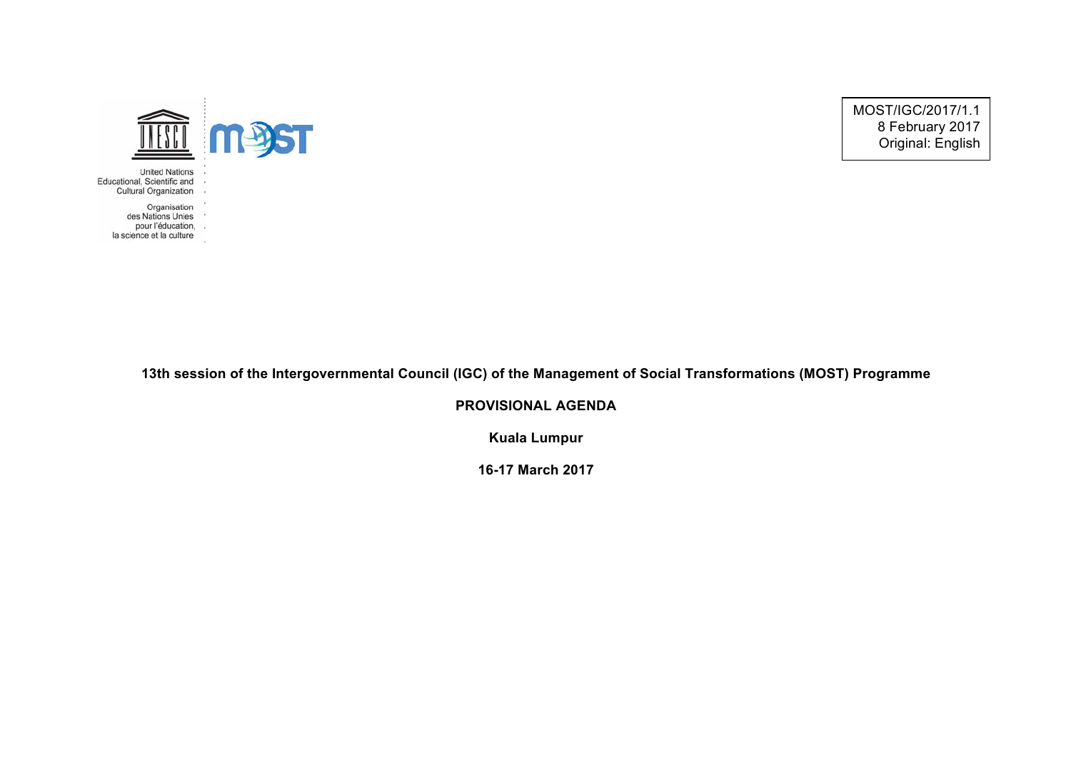MOST/IGC/2017/1.1 8 February 2017 Original: English



- **United Nations** Educational, Scientific and
	- -12 Cultural Organization
		-
		- Organisation
		- des Nations Unies
	- pour l'éducation,<br>la science et la culture
	-

## **13th session of the Intergovernmental Council (IGC) of the Management of Social Transformations (MOST) Programme**

**PROVISIONAL AGENDA**

**Kuala Lumpur**

**16-17 March 2017**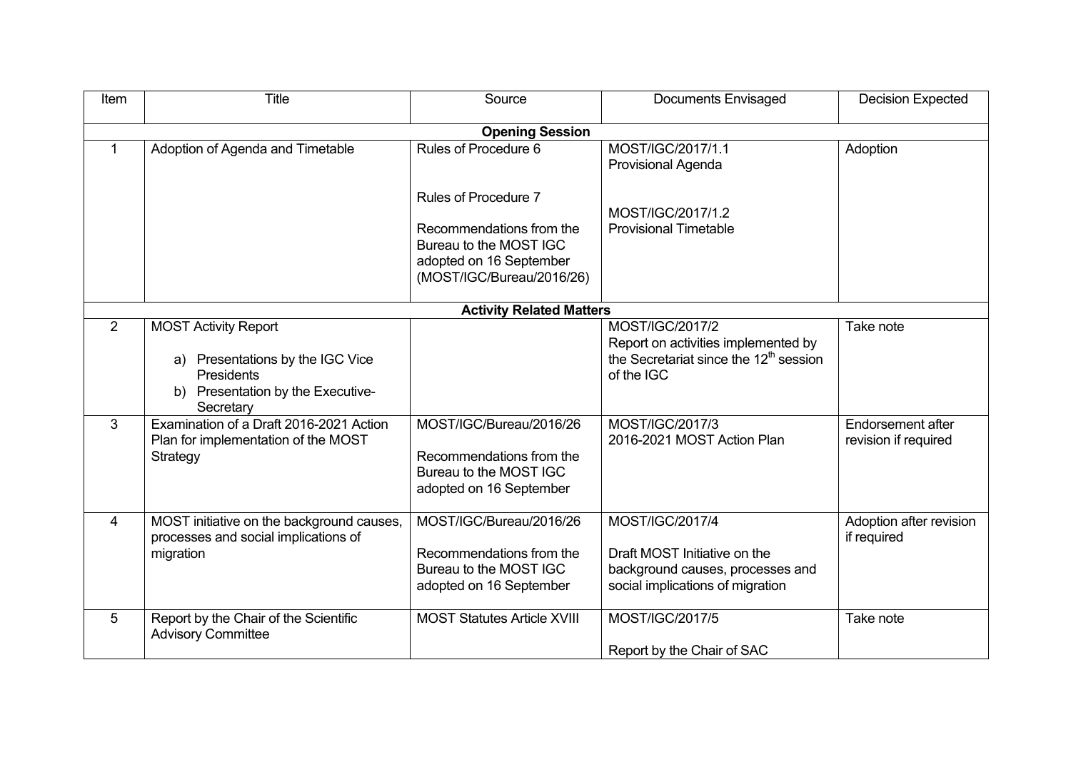| Item                            | Title                                                                                                                                        | Source                                                                                                     | <b>Documents Envisaged</b>                                                                                                 | <b>Decision Expected</b>                  |  |  |  |
|---------------------------------|----------------------------------------------------------------------------------------------------------------------------------------------|------------------------------------------------------------------------------------------------------------|----------------------------------------------------------------------------------------------------------------------------|-------------------------------------------|--|--|--|
| <b>Opening Session</b>          |                                                                                                                                              |                                                                                                            |                                                                                                                            |                                           |  |  |  |
| 1                               | Adoption of Agenda and Timetable                                                                                                             | Rules of Procedure 6                                                                                       | MOST/IGC/2017/1.1<br>Provisional Agenda                                                                                    | Adoption                                  |  |  |  |
|                                 |                                                                                                                                              | <b>Rules of Procedure 7</b>                                                                                | MOST/IGC/2017/1.2                                                                                                          |                                           |  |  |  |
|                                 |                                                                                                                                              | Recommendations from the<br>Bureau to the MOST IGC<br>adopted on 16 September<br>(MOST/IGC/Bureau/2016/26) | <b>Provisional Timetable</b>                                                                                               |                                           |  |  |  |
| <b>Activity Related Matters</b> |                                                                                                                                              |                                                                                                            |                                                                                                                            |                                           |  |  |  |
| 2                               | <b>MOST Activity Report</b><br>Presentations by the IGC Vice<br>a)<br><b>Presidents</b><br>Presentation by the Executive-<br>b)<br>Secretary |                                                                                                            | MOST/IGC/2017/2<br>Report on activities implemented by<br>the Secretariat since the 12 <sup>th</sup> session<br>of the IGC | Take note                                 |  |  |  |
| 3                               | Examination of a Draft 2016-2021 Action<br>Plan for implementation of the MOST<br>Strategy                                                   | MOST/IGC/Bureau/2016/26<br>Recommendations from the<br>Bureau to the MOST IGC<br>adopted on 16 September   | MOST/IGC/2017/3<br>2016-2021 MOST Action Plan                                                                              | Endorsement after<br>revision if required |  |  |  |
| $\overline{4}$                  | MOST initiative on the background causes,<br>processes and social implications of<br>migration                                               | MOST/IGC/Bureau/2016/26<br>Recommendations from the<br>Bureau to the MOST IGC<br>adopted on 16 September   | MOST/IGC/2017/4<br>Draft MOST Initiative on the<br>background causes, processes and<br>social implications of migration    | Adoption after revision<br>if required    |  |  |  |
| 5                               | Report by the Chair of the Scientific<br><b>Advisory Committee</b>                                                                           | <b>MOST Statutes Article XVIII</b>                                                                         | MOST/IGC/2017/5<br>Report by the Chair of SAC                                                                              | Take note                                 |  |  |  |